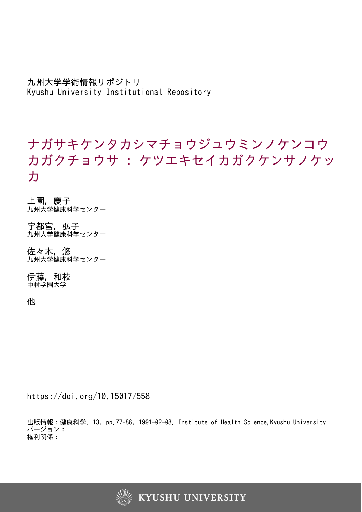九州大学学術情報リポジトリ Kyushu University Institutional Repository

# ナガサキケンタカシマチョウジュウミンノケンコウ カガクチョウサ : ケツエキセイカガクケンサノケッ カ

上園, 慶子 九州大学健康科学センター

宇都宮, 弘子 - 『…一, 『……』<br>九州大学健康科学センター

佐々木, 悠 九州大学健康科学センター

伊藤, 和枝 中村学園大学

他

https://doi.org/10.15017/558

出版情報:健康科学. 13, pp.77-86, 1991-02-08. Institute of Health Science,Kyushu University バージョン: 権利関係:

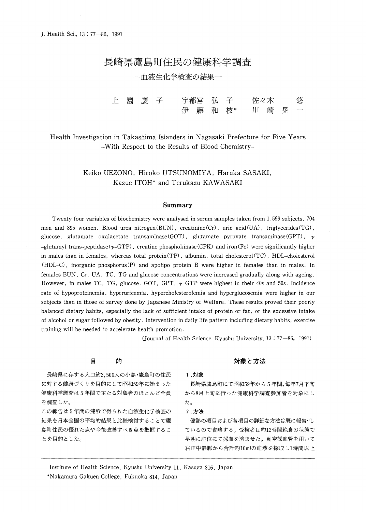# 長崎県鷹**島町住民の**健康科学調査

- 血液生化学検査の結果-

\_\_t 園 慶 子<br>
- 宇都宮 弘 子 宇都宮 弘 子 - 佐々木 - 悠<br>伊 藤 和 枝\* - 川 崎 晃 一 **悠** 川 崎 晃

Health Investigation in Takashima Islanders in Nagasaki Prefecture for Five Years -With Respect to the Results of Blood Chemistry-

> Keiko UEZONO, Hiroko UTSUNOMIYA, Haruka SASAKI, Kazue ITOH\* and Terukazu KAWASAKI

## **Summary**

Twenty four variables of biochemistry were analysed **in** serum samples taken from 1,599 subjects, 704 men and 895 women. Blood urea nitrogen(BUN), creatinine(Cr), uric acid(UA), triglycerides(TG), glucose, glutamate oxalacetate transaminase(GOT), glutamate pyruvate transaminase(GPT), **y**  -glutamyl trans-peptidase(y-GTP), creatine phosphokinase(CPK) and iron(Fe) were significantly higher in males than in females, whereas total protein(TP), albumin, total cholesterol(TC), HDL--cholesterol (HDL-C), inorganic phosphorus (P) and apolipo protein B were higher in females than in males. In females BUN, Cr, UA, TC, TG and glucose concentrations were increased gradually along with ageing. However, in males TC, TG, glucose, GOT, GPT,  $\gamma$ -GTP were highest in their 40s and 50s. Incidence rate of hypoproteinemia, hyperuricemia, hypercholesterolemia and hyperglucosemia were higher in our subjects than in those of survey done by Japanese Ministry of Welfare. These results proved their poorly balanced dietary habits, especially the lack of sufficient intake of protein or fat, or the excessive intake of alcohol or sugar followed by obesity. Intervention in daily life pattern including dietary habits, exercise training will be needed to accelerate health promotion.

(Journal of Health Science. Kyushu Uuiversity, 13: 77-86, 1991)

# § a'9

長崎県に存する人口約3,500人の小島·鷹島町の住民 に対する健康づくりを目的にして昭和59年に始まった 健康科学調査は5年間で主たる対象者のほとんど全員 を調査した。

この報告は5年間の健診で得られた血液生化学検査の 結果を日本全国の平均的結果と比較検討することで鷹 島町住民の優れた点や今後改善すべき点を把握するこ とを目的とした。

# <u>対象と方法</u>

# **1.~~**

長崎県鷹島町にて昭和59年から5年間,毎年7月下旬 から8月上旬に行った健康科学調査参加者を対象にし *f:::o* 

# **2** . **'JJit.**

健診の項目および各項目の詳細な方法は既に報告<sup>71</sup>し ているので省略する。受検者は約12時間絶食の状態で 早朝に座位にて採血を済ませた。真空採血管を用いて 右正中静脈から合計約10mlの血液を採取し1時間以上

Institute of Health Science, Kyushu University 11, Kasuga 816, Japan

•Nakamura Gakuen College, Fukuoka 814, Japan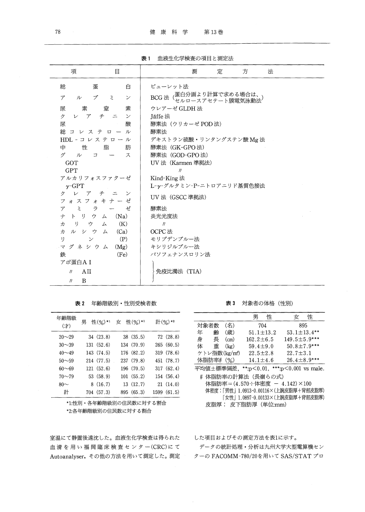表1 血液生化学検査の項目と測定法

| 総<br>蛋<br>白                                                                                                                                                                                                                                                                                                                                                                                                                                                                                                                                                 | ビューレット法<br>BCG 法(蛋白分画より計算で求める場合は、、<br>BCG 法(セルロースアセテート膜電気泳動法                                                                                                                                                                        |  |  |
|-------------------------------------------------------------------------------------------------------------------------------------------------------------------------------------------------------------------------------------------------------------------------------------------------------------------------------------------------------------------------------------------------------------------------------------------------------------------------------------------------------------------------------------------------------------|-------------------------------------------------------------------------------------------------------------------------------------------------------------------------------------------------------------------------------------|--|--|
| ブミ<br>$\mathcal{P}$<br>ル<br>$\checkmark$<br>安全<br>素<br>素<br>尿<br>クレアチニ<br>$\mathcal{V}$<br>Jäffe 法<br>尿<br>酸<br>酵素法<br>総コレステロール<br>$HDL$ -コレステロール<br>中<br>性<br>脂<br>肪<br>ゲ<br>ス<br>ル<br>$\Box$<br>GOT<br><b>GPT</b><br>アルカリフォスファターゼ<br>Kind-King 法<br>$\nu$ -GPT<br>レアチ<br>クー<br>フォスフォキナーゼ<br>ラ<br>ゼ<br>酵素法<br>100 - Benedict<br>$\mathcal{F}$<br>炎光光度法<br>ナトリウム (Na)<br>カーリーウー<br>(K)<br>厶<br>$\eta$<br>カルシウ<br>OCPC 法<br>(Ca)<br>$\Delta$<br><sup>1</sup><br>(P)<br>$\checkmark$<br>マグネシウム<br>(Mg)<br>(Fe)<br>鉄<br>アポ蛋白AI<br>AII<br>$\eta$<br>B<br>$\eta$ | ウレアーゼ GLDH 法<br>酵素法 (ウリカーゼ POD法)<br>デキストラン硫酸·リンタングステン酸Mg法<br>酵素法 (GK-GPO 法)<br>酵素法 (GOD-GPO法)<br>UV 法 (Karmen 準拠法)<br>$\eta$<br>L-γ-グルタミン-P-ニトロアニリド基質色接法<br>UV 法 (GSCC 準拠法)<br>モリブデンブルー法<br>キシリジルブルー法<br>バソフェナンスロリン法<br>免疫比濁法 (TIA) |  |  |

| 表 2 |  |  | 年齢階級別・性別受検者数 |
|-----|--|--|--------------|
|-----|--|--|--------------|

| 年齢階級<br>(才) | 男<br>性(%)*1 | 性(%)*1<br>女 | 計(%)*2      |
|-------------|-------------|-------------|-------------|
| $20 - 29$   | 34(23.8)    | 38(35.5)    | 72(28.8)    |
| $30 - 39$   | 131(52.6)   | 134 (70.9)  | 265(60.5)   |
| $40 - 49$   | 143 (74.5)  | 176 (82.2)  | 319 (78.6)  |
| $50 - 59$   | 214(77.5)   | 237 (79.8)  | 451 (78.7)  |
| $60 - 69$   | 121(52.6)   | 196(70.5)   | 317(62.4)   |
| $70 - 79$   | 53(58.9)    | 101(55.2)   | 154 (56.4)  |
| $80-$       | 8(16.7)     | 13(12.7)    | 21(14.0)    |
| 計           | 704 (57.3)  | 895 (65.3)  | 1599 (61.5) |

\*1:性別・各年齢階級別の住民数に対する割合 \*2:各年齢階級別の住民数に対する割合

室温にて静置後遠沈した。血液生化学検査は得られた 血清を用い福岡臨床検査センター(CRC)にて Autoanalyser, その他の方法を用いて測定した。測定

表3 対象者の体格 (性別)

|           |                           | 男               | 性 | 女                               | 性 |
|-----------|---------------------------|-----------------|---|---------------------------------|---|
| 対象者数      | (名)                       | 704             |   | 895                             |   |
| 年         | (歳)<br>齝                  | $51.1 + 13.2$   |   | $53.1 \pm 13.4$ **              |   |
| 身<br>長    | (cm)                      | $162.2 \pm 6.5$ |   | $149.5 \pm 5.9***$              |   |
| 体         | 重<br>(kg)                 | 59.4 $\pm$ 9.0  |   | $50.8 \pm 7.9***$               |   |
|           | ケトレ指数(kg/m <sup>2</sup> ) | $22.5 \pm 2.8$  |   | $22.7 \pm 3.1$                  |   |
| 体脂肪率# (%) |                           | $14.1 \pm 4.6$  |   | 26.4 $\pm$ 8.9***               |   |
|           | 平均値±標準偏差.                 |                 |   | **:p<0.01, ***:p<0.001 vs male. |   |
|           |                           |                 |   |                                 |   |

# 体脂肪率の計算法 (長嶺らの式) 体脂肪率=(4.570÷体密度 - 4.142)×100 体密度:「男性」1.0913-0.00116×(上腕皮脂厚+背部皮脂厚) [女性] 1.0897-0.00133×(上腕皮脂厚+背部皮脂厚) 皮脂厚: 皮下脂肪厚 (単位:mm)

した項目およびその測定方法を表1に示す。

データの統計処理・分析は九州大学大型電算機セン ターの FACOMM-780/20を用いて SAS/STATプロ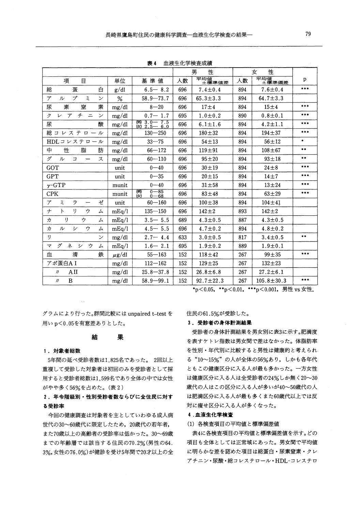|                                                                       |            |                            | 男<br>性 |                  | 性<br>女 |                  |           |
|-----------------------------------------------------------------------|------------|----------------------------|--------|------------------|--------|------------------|-----------|
| 項<br>目                                                                | 単位         | 基準値                        | 人数     | 平均值<br>土標準値差     | 人数     | 平均值<br>土標準偏差     | p         |
| 白<br>蛋<br>総                                                           | g/dl       | $6.5 - 8.2$                | 696    | $7.4 \pm 0.4$    | 894    | $7.6 \pm 0.4$    | ***       |
| ブ<br>Ξ<br>ア<br>ル<br>$\checkmark$                                      | %          | $58.9 - 73.7$              | 696    | $65.3 \pm 3.3$   | 894    | 64.7 $\pm$ 3.3   |           |
| 窒<br>素<br>尿<br>素                                                      | mg/dl      | $8 - 20$                   | 696    | 17 <sub>±4</sub> | 894    | $15 \pm 4$       | ***       |
| チニ<br>ク<br>$\mathcal{F}$<br>$\overline{\phantom{a}}$<br>$\mathcal{V}$ | mg/dl      | $0.7 - 1.7$                | 695    | $1.0 \pm 0.2$    | 890    | $0.8 + 0.1$      | $***$     |
| 杘<br>酸                                                                | mg/dl      | (男) 3.0-7.5<br>(女) 2.5-6.0 | 696    | $6.1 \pm 1.6$    | 894    | $4.2 \pm 1.1$    | ***       |
| 総コレステロール                                                              | mg/dl      | $130 - 250$                | 696    | $180 + 32$       | 894    | $194 + 37$       | ***       |
| HDLコレステロール                                                            | mg/dl      | $33 - 75$                  | 696    | $54 + 13$        | 894    | $56 + 12$        | $\bullet$ |
| ‡<br>性<br>脂<br>肪                                                      | mg/dl      | $66 - 172$                 | 696    | $119 + 91$       | 894    | $108 + 67$       | $* *$     |
| ゲ<br>$\n  n$<br>$\Box$<br>ス<br>$\qquad \qquad$                        | mg/dl      | $60 - 110$                 | 696    | $95 + 20$        | 894    | $93 + 18$        | $**$      |
| GOT                                                                   | unit       | $0 - 40$                   | 696    | $30 + 19$        | 894    | $24\pm8$         | $***$     |
| <b>GPT</b>                                                            | unit       | $0 - 35$                   | 696    | $20 + 15$        | 894    | $14 \pm 7$       | ***       |
| $\gamma$ -GTP                                                         | munit      | $0 - 40$                   | 696    | $31 + 58$        | 894    | $13 + 24$        | ***       |
| <b>CPK</b>                                                            | munit      | $0 - 85$<br>阒凶<br>$0 - 68$ | 696    | $83 + 48$        | 894    | $63 + 29$        | ***       |
| Ξ<br>ゼ<br>ラ<br>ア                                                      | unit       | $60 - 160$                 | 696    | $100 \pm 38$     | 894    | $104 \pm 41$     |           |
| $\boldsymbol{+}$<br>$\mathcal{F}$<br>IJ<br>ゥ<br>ム                     | mEq/1      | $135 - 150$                | 696    | $142 + 2$        | 893    | $142 + 2$        |           |
| ヵ<br>ı)<br>ゥ<br>厶                                                     | mEq/1      | $3.5 - 5.5$                | 689    | $4.3 \pm 0.5$    | 887    | $4.3 \pm 0.5$    |           |
| 力<br>ル<br>ゥ<br>シ<br>ム                                                 | mEq/1      | $4.5 - 5.5$                | 696    | $4.7 \pm 0.2$    | 894    | $4.8 + 0.2$      |           |
| I)<br>$\checkmark$                                                    | mg/dl      | $2.7 - 4.4$                | 633    | $3.0 \pm 0.5$    | 817    | $3.4 \pm 0.5$    | $***$     |
| グ<br>ゥ<br>ネ<br>シー<br>マ<br>ム                                           | mEq/1      | $1.6 - 2.1$                | 695    | $1.9 \pm 0.2$    | 889    | $1.9 \pm 0.1$    |           |
| 濬<br>mπ<br>鉄                                                          | $\mu$ g/dl | $55 - 163$                 | 152    | $118 + 42$       | 267    | $99 + 35$        | ***       |
| アポ蛋白AI                                                                | mg/dl      | $112 - 162$                | 152    | $129 + 25$       | 267    | $132 \pm 23$     |           |
| ΑH<br>$\eta$                                                          | mg/dl      | $25.8 - 37.8$              | 152    | $26.8 \pm 6.8$   | 267    | $27.2 \pm 6.1$   |           |
| B<br>$\eta$                                                           | mg/dl      | $58.9 - 99.1$              | 152    | $92.7 \pm 22.3$  | 267    | $105.8 \pm 30.3$ | $***$     |

表 4 血液生化学検査成績

\*p<0.05, \*\*p<0.01, \*\*\*p<0.001, 男性 vs 女性.

グラムにより行った。群間比較には unpaired t-test を 用い p<0.05を有意差ありとした。

#### 結 果

### 1. 対象者総数

5年間の延べ受診者数は1,825名であった。 2回以上 重複して受診した対象者は初回のみを受診者として採 用すると受診者総数は1,599名であり全体の中では女性 がやや多く56%を占めた。(表2)

# 2. 年令階級別・性別受診者数ならびに全住民に対す る受診率

今回の健康調査は対象者を主としていわゆる成人病 世代の30~60歳代に限定したため、20歳代の若年者、 また70歳以上の高齢者の受診率は低かった。30~69歳 までの年齢層では該当する住民の70.2%(男性の64. 3%,女性の76.0%)が健診を受け5年間で20才以上の全 住民の61.5%が受診した。

# 3. 受診者の身体計測結果

受診者の身体計測結果を男女別に表3に示す。肥満度 を表すケトレ指数は男女間で差はなかった。体脂肪率 を性別・年代別に比較すると男性は健康的と考えられ る "10~15%"の人が全体の56%あり、しかも各年代 ともこの健康区分に入る人が最も多かった。一方女性 は健康区分に入る人は全受診者の24%しか無く20~30 歳代の人はこの区分に入る人が多いが40~50歳代の人 は肥満区分に入る人が最も多くまた60歳代以上では反 対に痩せ区分に入る人が多くなった。

# 4 .血液生化学検査

## (1) 各検査項目の平均値と標準偏差値

表4に各検査項目の平均値と標準偏差値を示す。どの 項目も全体としては正常域にあった。男女間で平均値 に明らかな差を認めた項目は総蛋白・尿素窒素・クレ アチニン·尿酸·総コレステロール·HDL-コレステロ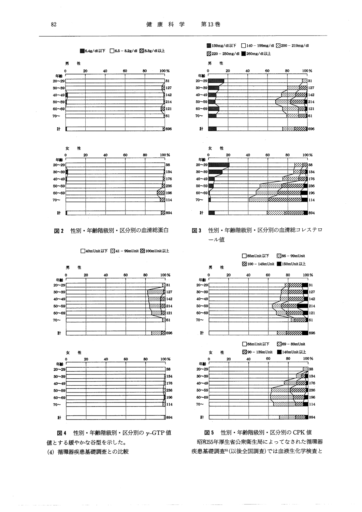

図2 性別・年齢階級別・区分別の血清総蛋白







図 4 性別・年齢階級別・区分別の γ-GTP 値 値とする緩やかな谷型を示した。

(4) 循環器疾患基礎調査との比較

**图 139mg/dl以下** 140 - 199mg/dl 3200 - 219mg/dl Z220-250mg/dl 260mg/dl以上 男 祉 20 80 100% Ō 40 60 年齢  $20 - 29$  $E$ 31  $7.722$  127  $30 - 39$  $\frac{1}{2}$  142  $40 - 49$  $50 - 59$  $\frac{1}{2}$  214  $\sqrt{2}$  121  $60 - 69$  $70 \frac{1}{2}$ 61  $#$ **WILLIA** 696 女 性 20 40 60 100 %  $\Omega$ 80 任龄  $20 - 29$  $\mathbb{Z}/\mathbb{Z}$  38 <del>∷.62≸</del> 134  $30 - 39$  $\approx 272$  176  $40 - 49$ *STATUTUM* 236  $50 - 59$ <u> External and the second second second second second second second second second second second second second </u>  $\blacksquare$ 196  $60 - 69$ <u> Saamaanaa</u>  $70-$ 114  $\ddagger$ RECENT SAMMING 894





図5 性別・年齢階級別・区分別の CPK 値 昭和55年厚生省公衆衛生局によってなされた循環器 疾患基礎調査5(以後全国調査)では血液生化学検査と

图 6.4g/dl以下 | 6.5 - 8.2g/dl Z 8.3g/dl以上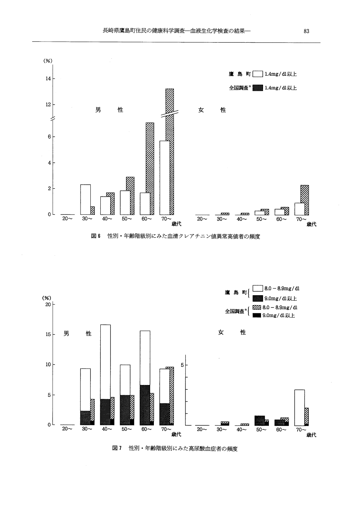



図 7 性別・年齢階級別にみた高尿酸血症者の頻度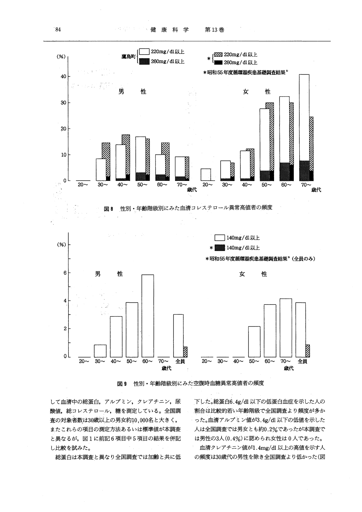

性別・年齢階級別にみた空腹時血糖異常高値者の頻度 図9

して血清中の総蛋白、アルブミン、クレアチニン、尿 酸値、総コレステロール、糖を測定している。全国調 査の対象者数は30歳以上の男女約10,000名と大きく, またこれらの項目の測定方法あるいは標準値が本調査 と異なるが、図1に前記6項目中5項目の結果を併記 し比較を試みた。

総蛋白は本調査と異なり全国調査では加齢と共に低

下した。総蛋白6.4g/dl 以下の低蛋白血症を示した人の 割合は比較的若い年齢階級で全国調査より頻度が多か った。血清アルブミン値が3.4g/dl 以下の低値を示した 人は全国調査では男女とも約0.2%であったが本調査で は男性の3人(0.4%)に認められ女性は0人であった。

血清クレアチニン値が1.4mg/dl 以上の高値を示す人 の頻度は30歳代の男性を除き全国調査より低かった(図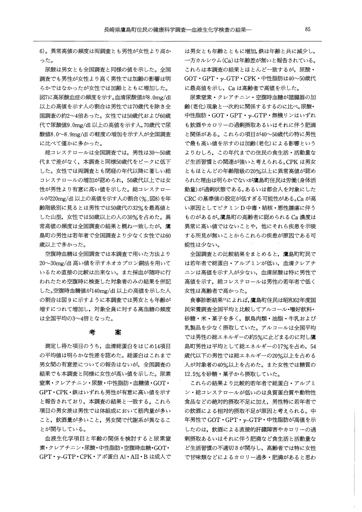6)。異常高値の頻度は両調査とも男性が女性より高か った。

尿酸は男女とも全国調査と同様の値を示した。全国 調査でも男性が女性より高く男性では加齢の影響は明 らかではなかったが女性では加齢とともに増加した。 7に高尿酸血症の頻度を示す。血清尿酸値が8.0mg/dl 以上の高値を示す人の割合は男性では70歳代を除き全 国調査の約2~4倍あった。女性では50歳代および60 代で尿酸値9.0mg/dl以上の高値を示す人, 70歳代で尿 酸値8.0~8.9mg/dlの軽度の増加を示す人が全国調査 に比べて僅かに多かった。

総コレステロールは全国調査では、男性は30~50歳 代まで差がなく,本調査と同様50歳代をピークに低下 した。女性では両調査とも閉経の年代以降に著しい総 コレステロールの増加が認められ, 50歳代以上では女 性が男性より有意に高い値を示した。総コレステロー ルが220mg/dl以上の高値を示す人の割合(%,図8)を年 齢階級別に見るとは男性では50歳代の32%を最高値と した山型,女性では50歳以上の人の30%を占めた。異 常高値の頻度は全国調査の結果と概ね一致したが,鷹 島町の男性は若年者で全国調査より少なく女性では60 歳以上で多かった。

空腹時血糖は全国調査では本調査で用いた方法より 20~30mg/dl 高い値を示すネオカプロン銅法を用いて いるため直接の比較は出来ない。また採血が随時に行 われたため空腹時に検査した対象者のみの結果を併記 した。空腹時血糖値が140mg/dl以上の高値を示した人 の割合は図9に示すように本調査では男女とも年齢が 増すにつれて増加し,対象全員に対する高血糖の頻度 は全国平均の3~4倍となった。

# 考 案

測定し得た項目のうち,血清総蛋白をはじめ14項目 の平均値は明らかな性差を認めた。総蛋白はこれまで 男女間の有意差についての報告はないが,全国調査の 結果でも本調査と同様に女性が高い値を示した。尿素 窒素・クレアチニン・尿酸・中性脂肪・血糖値 •GOT GPT•CPK• 鉄はいずれも男性が有意に高い値を示す と報告されており,本調査の結果と一致する。これら 項目の男女差は男性では体組成において筋肉量が多い こと,飲酒量が多いこと,男女間で代謝系が異なるこ とが関与している。

血液生化学項目と年齢の関係を検討すると尿素窒 素・クレアチニン・尿酸・中性脂肪・空腹時血糖•GOT GPT•y-GTP·CPK ・アボ蛋白 Al•AII•B は成人で は男女とも年齢とともに増加,鉄は年齢と共に減少し, 一方カルシウム (Ca)は年齢差が無いと報告されている。 これらは本調査の結果とほとんど一致するが,尿酸・ GOT・GPT・y-GTP・CPK・中性脂肪は40~50歳代 に最高値を示し, Caは高齢者で高値を示した。

尿素窒素・クレアチニン・空腹時血糖が諸臓器の加 齢(老化)現象と一次的に関係するするのに比べ;尿酸・ 中性脂肪 •GOT • GPT • y-GTP・無機リンはいずれ も飲酒やカロリーの過剰摂取あるいはそれに伴う肥満 と関係がある。これらの項目が40~50歳代の特に男性 で最も高い値を示すのは加齢(老化)による影響という よりむしろ,この年代までの住民の食生活・活動量な ど生活習慣との関連が強いと考えられる。CPKは男女 ともほとんどの年齢階級の20%以上に異常高値が認め られた理由は明らかでないが鷹島町住民は労働(身体活 動量)が過剰状態である,あるいは都会人を対象にした CRCの基準値の設定が低すぎる可能性がある。Caが高 い原因としてピタミン D中毒・結核・悪性腫瘍に伴う ものがあるが。鷹島町の高齢者に認められる Ca濃度は 異常に高い値ではないことや,他にそれら疾患を示唆 する所見が無いことからこれらの疾患が原因である可 能性は少ない。

全国調査との比較結果をまとめると,鷹島町町民で は若年者で総蛋白・アルブミンが低い,血清クレアチ ニンは高値を示す人が少ない,血清尿酸は特に男性で 高値を示す,総コレステロールは男性の若年者で低く 女性は高齢者で高かった。

食事診断結果りによれば,鷹島町住民は昭和62年度国 民栄養調査全国平均と比較してアルコール・嗜好飲料・ 砂糖・米・菓子を多く,獣鳥肉類・油脂・牛乳および 乳製品を少なく摂取していた。アルコールは全国平均 では男性の総エネルギーの約5%に止どまるのに対し鷹 島町男性は平均として総エネルギーの17%を占め, 54 歳代以下の男性では総エネルギーの20%以上を占める 人が対象者の40%以上を占めた。また女性では糖質の 12.5%を砂糖・菓子から摂取していた。

これらの結果より比較的若年者で総蛋白・アルブミ ン・総コレステロールが低いのは良質蛋白質や動物性 食品などの絶対的摂取不足に加え,男性特に若年者で の飲酒による相対的摂取不足が原因と考えられる。中 年男性で GOT · GPT · γ-GTP · 中性脂肪が高値を示 したのは,飲酒による直接的肝臓障害やカロリーの過 剰摂取あるいはそれに伴う肥満など食生活と活動量な ど生活習慣の不適切さが関与し,高齢者では特に女性 で甘味類などによるカロリー過多・肥満があると思わ